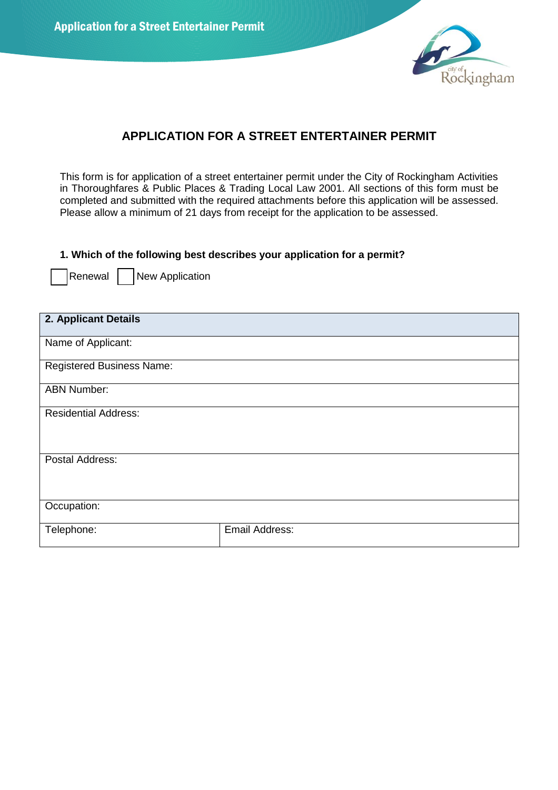Application for a Street Entertainer Permit



# **APPLICATION FOR A STREET ENTERTAINER PERMIT**

This form is for application of a street entertainer permit under the City of Rockingham Activities in Thoroughfares & Public Places & Trading Local Law 2001. All sections of this form must be completed and submitted with the required attachments before this application will be assessed. Please allow a minimum of 21 days from receipt for the application to be assessed.

#### **1. Which of the following best describes your application for a permit?**

Renewal | New Application

| 2. Applicant Details             |                |  |  |  |
|----------------------------------|----------------|--|--|--|
| Name of Applicant:               |                |  |  |  |
| <b>Registered Business Name:</b> |                |  |  |  |
| <b>ABN Number:</b>               |                |  |  |  |
| <b>Residential Address:</b>      |                |  |  |  |
| Postal Address:                  |                |  |  |  |
| Occupation:                      |                |  |  |  |
| Telephone:                       | Email Address: |  |  |  |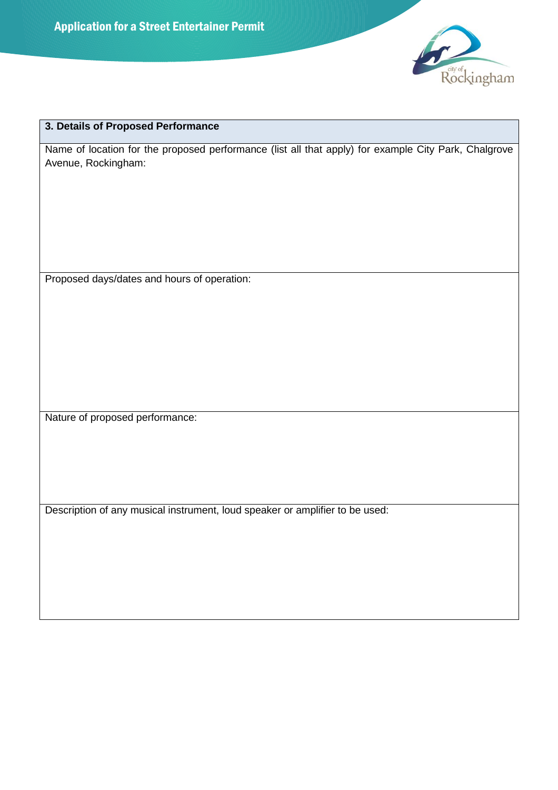

## **3. Details of Proposed Performance**

Name of location for the proposed performance (list all that apply) for example City Park, Chalgrove Avenue, Rockingham:

Proposed days/dates and hours of operation:

Nature of proposed performance:

Description of any musical instrument, loud speaker or amplifier to be used: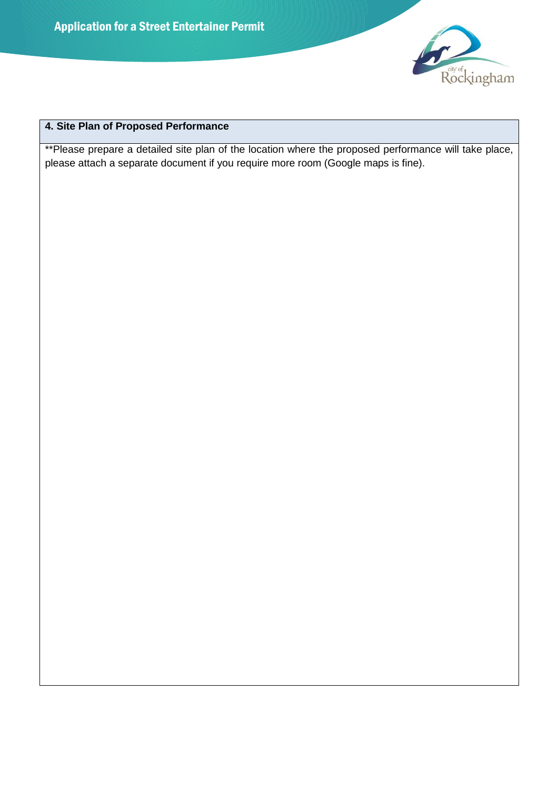

# **4. Site Plan of Proposed Performance**

\*\*Please prepare a detailed site plan of the location where the proposed performance will take place, please attach a separate document if you require more room (Google maps is fine).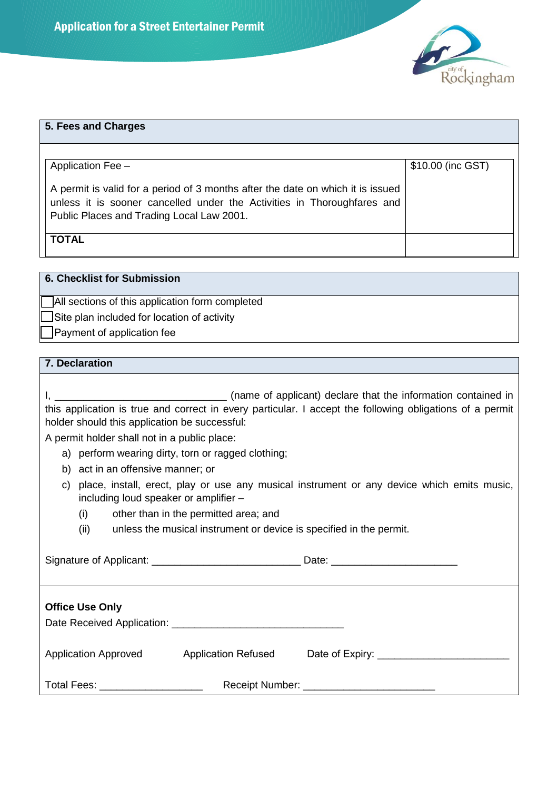

| 5. Fees and Charges                                                                                                                                                                                     |                   |
|---------------------------------------------------------------------------------------------------------------------------------------------------------------------------------------------------------|-------------------|
| Application Fee -                                                                                                                                                                                       | \$10.00 (inc GST) |
| A permit is valid for a period of 3 months after the date on which it is issued<br>unless it is sooner cancelled under the Activities in Thoroughfares and<br>Public Places and Trading Local Law 2001. |                   |
| <b>TOTAL</b>                                                                                                                                                                                            |                   |

**6. Checklist for Submission** 

□ All sections of this application form completed

 $\Box$  Site plan included for location of activity

□ Payment of application fee

## **7. Declaration**

| this application is true and correct in every particular. I accept the following obligations of a permit<br>holder should this application be successful: |                                                                     |                                                                                  |  |  |  |  |
|-----------------------------------------------------------------------------------------------------------------------------------------------------------|---------------------------------------------------------------------|----------------------------------------------------------------------------------|--|--|--|--|
| A permit holder shall not in a public place:                                                                                                              |                                                                     |                                                                                  |  |  |  |  |
| a) perform wearing dirty, torn or ragged clothing;                                                                                                        |                                                                     |                                                                                  |  |  |  |  |
| b) act in an offensive manner; or                                                                                                                         |                                                                     |                                                                                  |  |  |  |  |
| c) place, install, erect, play or use any musical instrument or any device which emits music,<br>including loud speaker or amplifier -                    |                                                                     |                                                                                  |  |  |  |  |
| (i)                                                                                                                                                       | other than in the permitted area; and                               |                                                                                  |  |  |  |  |
| (ii)                                                                                                                                                      | unless the musical instrument or device is specified in the permit. |                                                                                  |  |  |  |  |
|                                                                                                                                                           |                                                                     |                                                                                  |  |  |  |  |
| <b>Office Use Only</b>                                                                                                                                    |                                                                     |                                                                                  |  |  |  |  |
|                                                                                                                                                           |                                                                     | Application Approved Application Refused Date of Expiry: _______________________ |  |  |  |  |
| Total Fees: ____________________                                                                                                                          |                                                                     |                                                                                  |  |  |  |  |